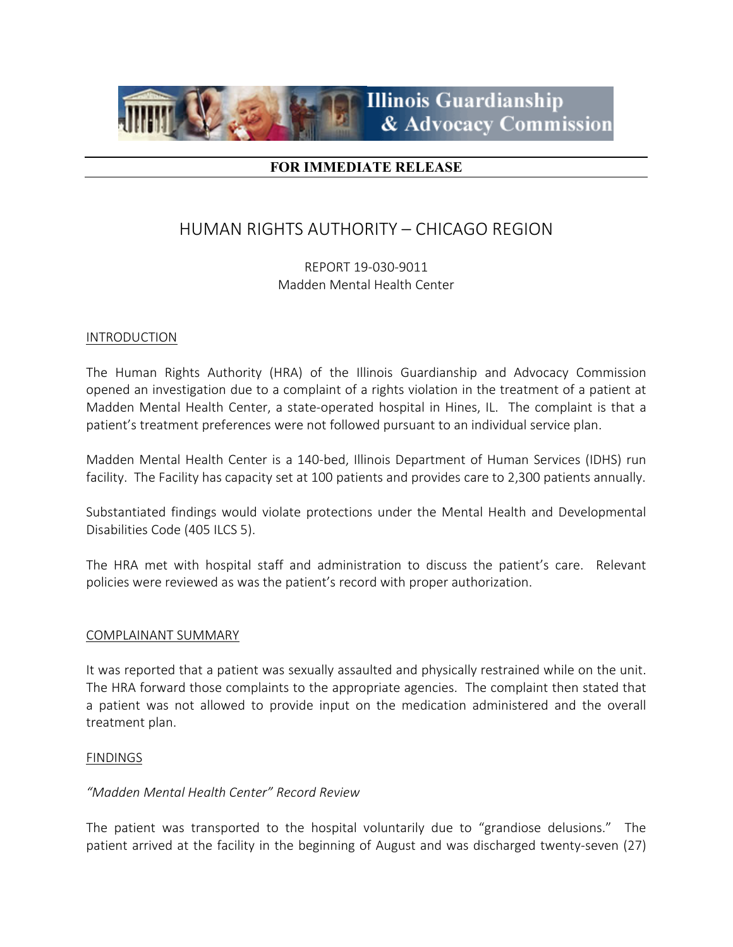

# **FOR IMMEDIATE RELEASE**

# HUMAN RIGHTS AUTHORITY – CHICAGO REGION

REPORT 19-030-9011 Madden Mental Health Center

#### INTRODUCTION

The Human Rights Authority (HRA) of the Illinois Guardianship and Advocacy Commission opened an investigation due to a complaint of a rights violation in the treatment of a patient at Madden Mental Health Center, a state-operated hospital in Hines, IL. The complaint is that a patient's treatment preferences were not followed pursuant to an individual service plan.

Madden Mental Health Center is a 140-bed, Illinois Department of Human Services (IDHS) run facility. The Facility has capacity set at 100 patients and provides care to 2,300 patients annually.

Substantiated findings would violate protections under the Mental Health and Developmental Disabilities Code (405 ILCS 5).

The HRA met with hospital staff and administration to discuss the patient's care. Relevant policies were reviewed as was the patient's record with proper authorization.

## COMPLAINANT SUMMARY

It was reported that a patient was sexually assaulted and physically restrained while on the unit. The HRA forward those complaints to the appropriate agencies. The complaint then stated that a patient was not allowed to provide input on the medication administered and the overall treatment plan.

#### **FINDINGS**

## *"Madden Mental Health Center" Record Review*

The patient was transported to the hospital voluntarily due to "grandiose delusions." The patient arrived at the facility in the beginning of August and was discharged twenty-seven (27)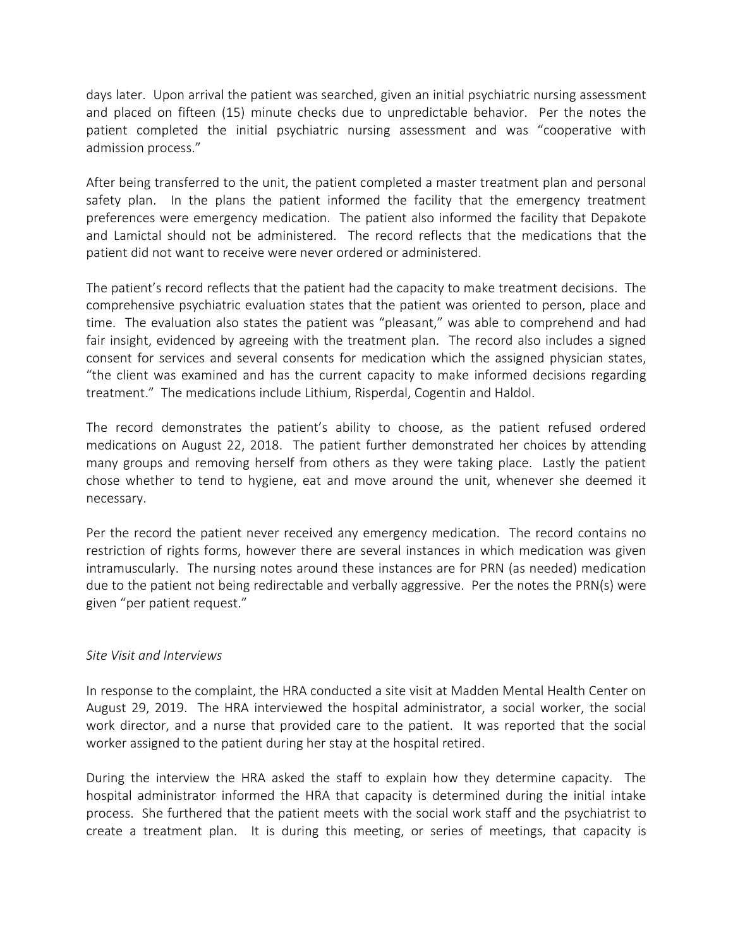days later. Upon arrival the patient was searched, given an initial psychiatric nursing assessment and placed on fifteen (15) minute checks due to unpredictable behavior. Per the notes the patient completed the initial psychiatric nursing assessment and was "cooperative with admission process."

After being transferred to the unit, the patient completed a master treatment plan and personal safety plan. In the plans the patient informed the facility that the emergency treatment preferences were emergency medication. The patient also informed the facility that Depakote and Lamictal should not be administered. The record reflects that the medications that the patient did not want to receive were never ordered or administered.

The patient's record reflects that the patient had the capacity to make treatment decisions. The comprehensive psychiatric evaluation states that the patient was oriented to person, place and time. The evaluation also states the patient was "pleasant," was able to comprehend and had fair insight, evidenced by agreeing with the treatment plan. The record also includes a signed consent for services and several consents for medication which the assigned physician states, "the client was examined and has the current capacity to make informed decisions regarding treatment." The medications include Lithium, Risperdal, Cogentin and Haldol.

The record demonstrates the patient's ability to choose, as the patient refused ordered medications on August 22, 2018. The patient further demonstrated her choices by attending many groups and removing herself from others as they were taking place. Lastly the patient chose whether to tend to hygiene, eat and move around the unit, whenever she deemed it necessary.

Per the record the patient never received any emergency medication. The record contains no restriction of rights forms, however there are several instances in which medication was given intramuscularly. The nursing notes around these instances are for PRN (as needed) medication due to the patient not being redirectable and verbally aggressive. Per the notes the PRN(s) were given "per patient request."

# *Site Visit and Interviews*

In response to the complaint, the HRA conducted a site visit at Madden Mental Health Center on August 29, 2019. The HRA interviewed the hospital administrator, a social worker, the social work director, and a nurse that provided care to the patient. It was reported that the social worker assigned to the patient during her stay at the hospital retired.

During the interview the HRA asked the staff to explain how they determine capacity. The hospital administrator informed the HRA that capacity is determined during the initial intake process. She furthered that the patient meets with the social work staff and the psychiatrist to create a treatment plan. It is during this meeting, or series of meetings, that capacity is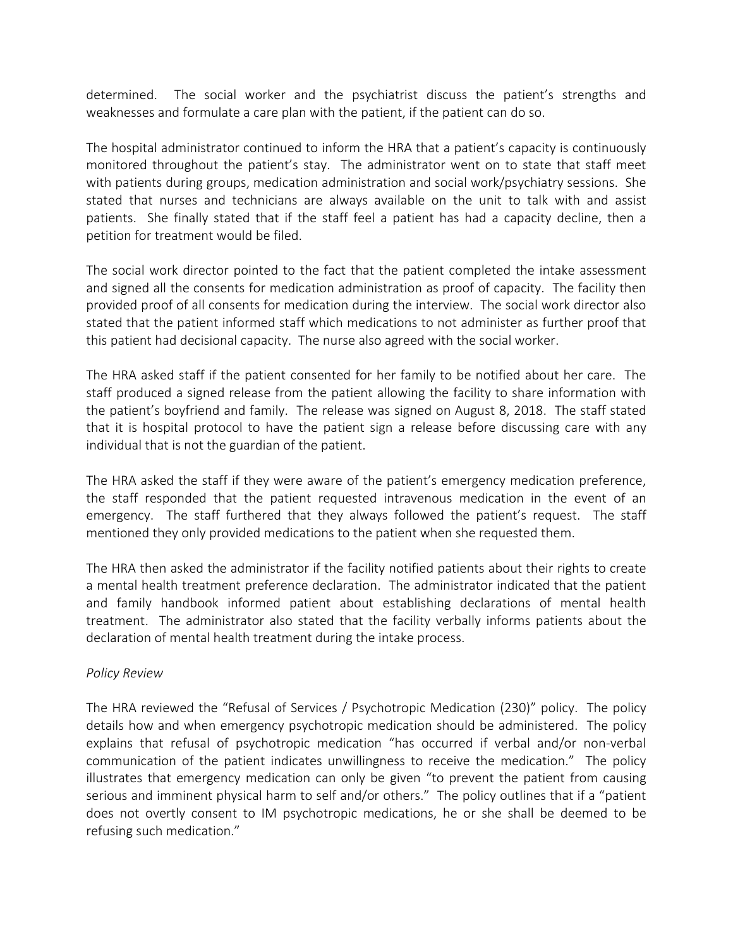determined. The social worker and the psychiatrist discuss the patient's strengths and weaknesses and formulate a care plan with the patient, if the patient can do so.

The hospital administrator continued to inform the HRA that a patient's capacity is continuously monitored throughout the patient's stay. The administrator went on to state that staff meet with patients during groups, medication administration and social work/psychiatry sessions. She stated that nurses and technicians are always available on the unit to talk with and assist patients. She finally stated that if the staff feel a patient has had a capacity decline, then a petition for treatment would be filed.

The social work director pointed to the fact that the patient completed the intake assessment and signed all the consents for medication administration as proof of capacity. The facility then provided proof of all consents for medication during the interview. The social work director also stated that the patient informed staff which medications to not administer as further proof that this patient had decisional capacity. The nurse also agreed with the social worker.

The HRA asked staff if the patient consented for her family to be notified about her care. The staff produced a signed release from the patient allowing the facility to share information with the patient's boyfriend and family. The release was signed on August 8, 2018. The staff stated that it is hospital protocol to have the patient sign a release before discussing care with any individual that is not the guardian of the patient.

The HRA asked the staff if they were aware of the patient's emergency medication preference, the staff responded that the patient requested intravenous medication in the event of an emergency. The staff furthered that they always followed the patient's request. The staff mentioned they only provided medications to the patient when she requested them.

The HRA then asked the administrator if the facility notified patients about their rights to create a mental health treatment preference declaration. The administrator indicated that the patient and family handbook informed patient about establishing declarations of mental health treatment. The administrator also stated that the facility verbally informs patients about the declaration of mental health treatment during the intake process.

# *Policy Review*

The HRA reviewed the "Refusal of Services / Psychotropic Medication (230)" policy. The policy details how and when emergency psychotropic medication should be administered. The policy explains that refusal of psychotropic medication "has occurred if verbal and/or non-verbal communication of the patient indicates unwillingness to receive the medication." The policy illustrates that emergency medication can only be given "to prevent the patient from causing serious and imminent physical harm to self and/or others." The policy outlines that if a "patient does not overtly consent to IM psychotropic medications, he or she shall be deemed to be refusing such medication."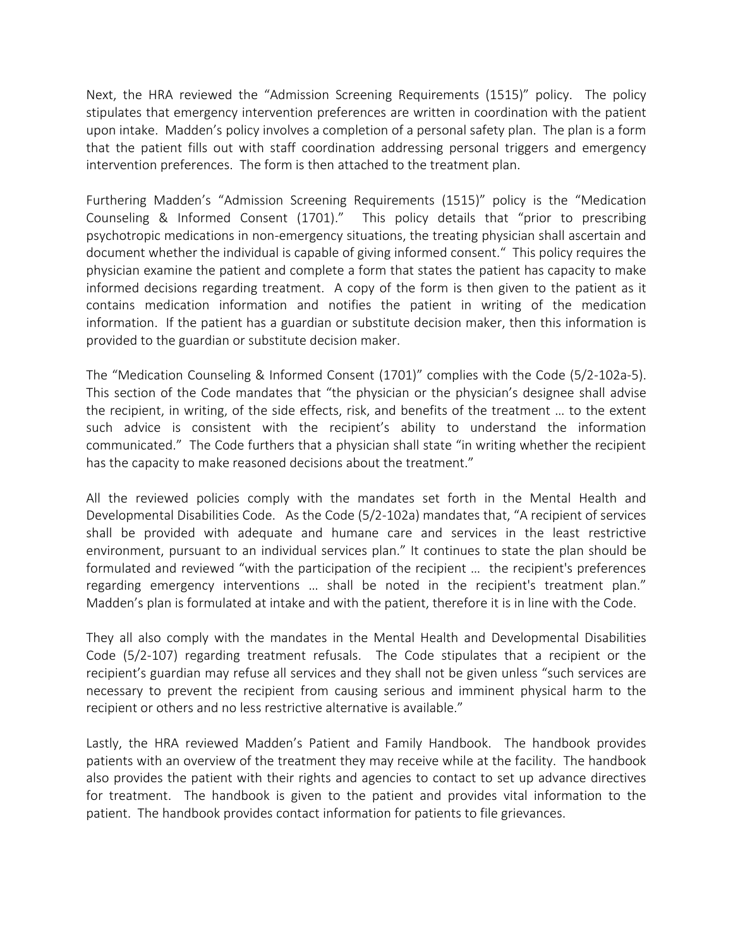Next, the HRA reviewed the "Admission Screening Requirements (1515)" policy. The policy stipulates that emergency intervention preferences are written in coordination with the patient upon intake. Madden's policy involves a completion of a personal safety plan. The plan is a form that the patient fills out with staff coordination addressing personal triggers and emergency intervention preferences. The form is then attached to the treatment plan.

Furthering Madden's "Admission Screening Requirements (1515)" policy is the "Medication Counseling & Informed Consent (1701)." This policy details that "prior to prescribing psychotropic medications in non-emergency situations, the treating physician shall ascertain and document whether the individual is capable of giving informed consent." This policy requires the physician examine the patient and complete a form that states the patient has capacity to make informed decisions regarding treatment. A copy of the form is then given to the patient as it contains medication information and notifies the patient in writing of the medication information. If the patient has a guardian or substitute decision maker, then this information is provided to the guardian or substitute decision maker.

The "Medication Counseling & Informed Consent (1701)" complies with the Code (5/2-102a-5). This section of the Code mandates that "the physician or the physician's designee shall advise the recipient, in writing, of the side effects, risk, and benefits of the treatment … to the extent such advice is consistent with the recipient's ability to understand the information communicated." The Code furthers that a physician shall state "in writing whether the recipient has the capacity to make reasoned decisions about the treatment."

All the reviewed policies comply with the mandates set forth in the Mental Health and Developmental Disabilities Code. As the Code (5/2-102a) mandates that, "A recipient of services shall be provided with adequate and humane care and services in the least restrictive environment, pursuant to an individual services plan." It continues to state the plan should be formulated and reviewed "with the participation of the recipient … the recipient's preferences regarding emergency interventions … shall be noted in the recipient's treatment plan." Madden's plan is formulated at intake and with the patient, therefore it is in line with the Code.

They all also comply with the mandates in the Mental Health and Developmental Disabilities Code (5/2-107) regarding treatment refusals. The Code stipulates that a recipient or the recipient's guardian may refuse all services and they shall not be given unless "such services are necessary to prevent the recipient from causing serious and imminent physical harm to the recipient or others and no less restrictive alternative is available."

Lastly, the HRA reviewed Madden's Patient and Family Handbook. The handbook provides patients with an overview of the treatment they may receive while at the facility. The handbook also provides the patient with their rights and agencies to contact to set up advance directives for treatment. The handbook is given to the patient and provides vital information to the patient. The handbook provides contact information for patients to file grievances.